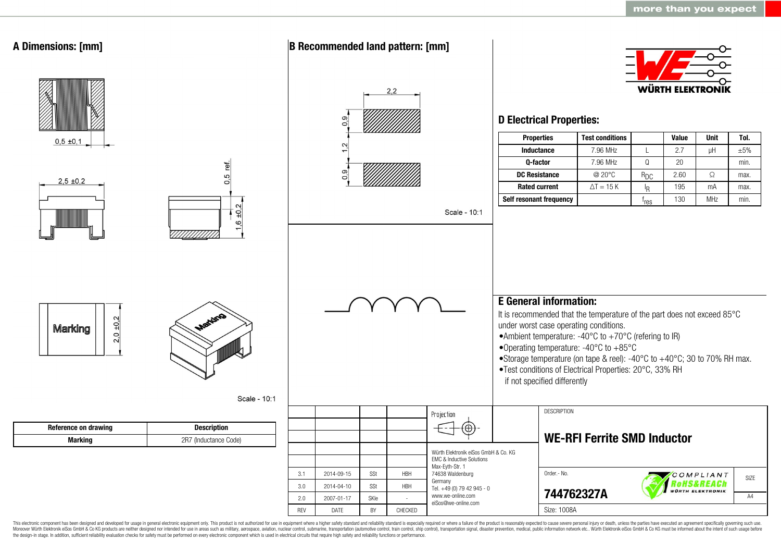

This electronic component has been designed and developed for usage in general electronic equipment only. This product is not authorized for use in equipment where a higher safety standard and reliability standard is espec Moreover Würth Elektronik eiSos GmbH & Co KG products are neither designed nor intended for use in areas such as military, aerospace, aviation, nuclear control, submarine, transportation (automotive control, ship control), the design-in stage. In addition, sufficient reliability evaluation checks for safety must be performed on every electronic component which is used in electrical circuits that require high safety and reliability functions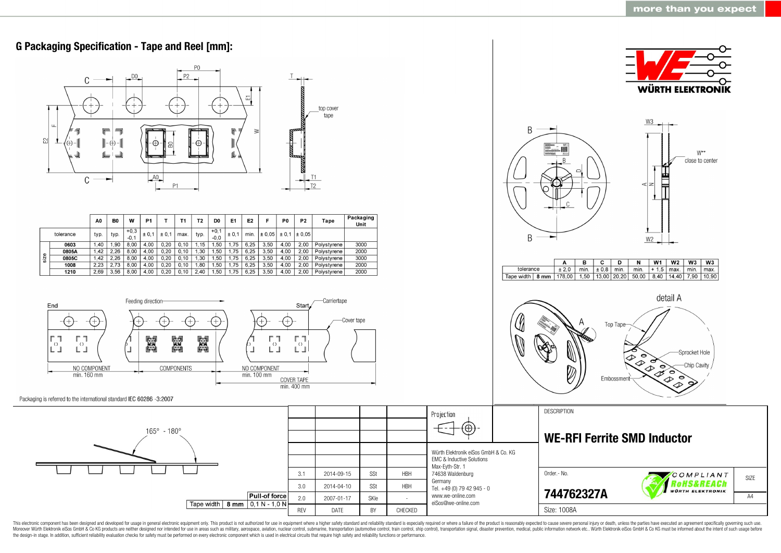

This electronic component has been designed and developed for usage in general electronic equipment only. This product is not authorized for use in equipment where a higher safety standard and reliability standard as espec Moreover Würth Elektronik eiSos GmbH & Co KG products are neither designed nor intended for use in areas such as military, aerospace, aviation, nuclear control, submarine, transportation (automotive control, ship control), the design-in stage. In addition, sufficient reliability evaluation checks for safety must be performed on every electronic component which is used in electrical circuits that require high safety and reliability functions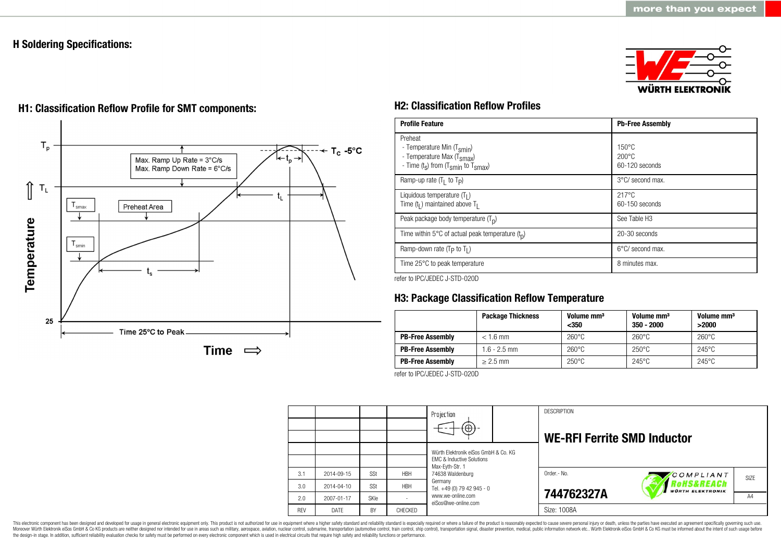### **H Soldering Specifications:**





# **H1: Classification Reflow Profile for SMT components: H2: Classification Reflow Profiles**

| <b>Profile Feature</b>                                                                                                                        | <b>Pb-Free Assembly</b>                             |
|-----------------------------------------------------------------------------------------------------------------------------------------------|-----------------------------------------------------|
| Preheat<br>- Temperature Min (T <sub>smin</sub> )<br>- Temperature Max (T <sub>Smax</sub> )<br>- Time $(t_s)$ from $(T_{smin}$ to $T_{smax})$ | $150^{\circ}$ C<br>$200\degree C$<br>60-120 seconds |
| Ramp-up rate $(T_1$ to $T_P$ )                                                                                                                | 3°C/ second max.                                    |
| Liquidous temperature $(T1)$<br>Time $(tl)$ maintained above T <sub>I</sub>                                                                   | $217^{\circ}$ C<br>60-150 seconds                   |
| Peak package body temperature $(Tp)$                                                                                                          | See Table H <sub>3</sub>                            |
| Time within 5°C of actual peak temperature $(t_n)$                                                                                            | 20-30 seconds                                       |
| Ramp-down rate $(T_P$ to $T_I$ )                                                                                                              | $6^{\circ}$ C/ second max.                          |
| Time 25°C to peak temperature                                                                                                                 | 8 minutes max.                                      |

refer to IPC/JEDEC J-STD-020D

## **H3: Package Classification Reflow Temperature**

|                         | <b>Package Thickness</b> | Volume mm <sup>3</sup><br>$350$ | Volume mm <sup>3</sup><br>$350 - 2000$ | Volume mm <sup>3</sup><br>>2000 |
|-------------------------|--------------------------|---------------------------------|----------------------------------------|---------------------------------|
| <b>PB-Free Assembly</b> | $< 1.6$ mm               | $260^{\circ}$ C                 | $260^{\circ}$ C                        | $260^{\circ}$ C                 |
| <b>PB-Free Assembly</b> | $1.6 - 2.5$ mm           | $260^{\circ}$ C                 | $250^{\circ}$ C                        | $245^{\circ}$ C                 |
| <b>PB-Free Assembly</b> | $> 2.5$ mm               | $250^{\circ}$ C                 | $245^{\circ}$ C                        | $245^{\circ}$ C                 |

refer to IPC/JEDEC J-STD-020D

|            |            |            |                | Projection<br>$\circledcirc$                                                                                        |  | <b>DESCRIPTION</b><br><b>WE-RFI Ferrite SMD Inductor</b> |                                                  |      |
|------------|------------|------------|----------------|---------------------------------------------------------------------------------------------------------------------|--|----------------------------------------------------------|--------------------------------------------------|------|
|            |            |            |                | Würth Elektronik eiSos GmbH & Co. KG<br><b>EMC &amp; Inductive Solutions</b><br>Max-Eyth-Str. 1<br>74638 Waldenburg |  |                                                          |                                                  |      |
| 3.1        | 2014-09-15 | <b>SSt</b> | <b>HBH</b>     |                                                                                                                     |  | Order.- No.                                              | COMPLIANT                                        | SIZE |
| 3.0        | 2014-04-10 | SSt        | <b>HBH</b>     | Germany<br>Tel. +49 (0) 79 42 945 - 0                                                                               |  |                                                          | <b>ROHS&amp;REACh</b><br><b>WÜRTH ELEKTRONIK</b> |      |
| 2.0        | 2007-01-17 | SKIe       |                | www.we-online.com<br>eiSos@we-online.com                                                                            |  | 744762327A                                               |                                                  | A4   |
| <b>REV</b> | DATE       | BY         | <b>CHECKED</b> |                                                                                                                     |  | Size: 1008A                                              |                                                  |      |

This electronic component has been designed and developed for usage in general electronic equipment only. This product is not authorized for use in equipment where a higher safety standard and reliability standard and reli Moreover Würth Elektronik eiSos GmbH & Co KG products are neither designed nor intended for use in areas such as military, aerospace, aviation, nuclear control, submarine, transportation (automotive control), stain control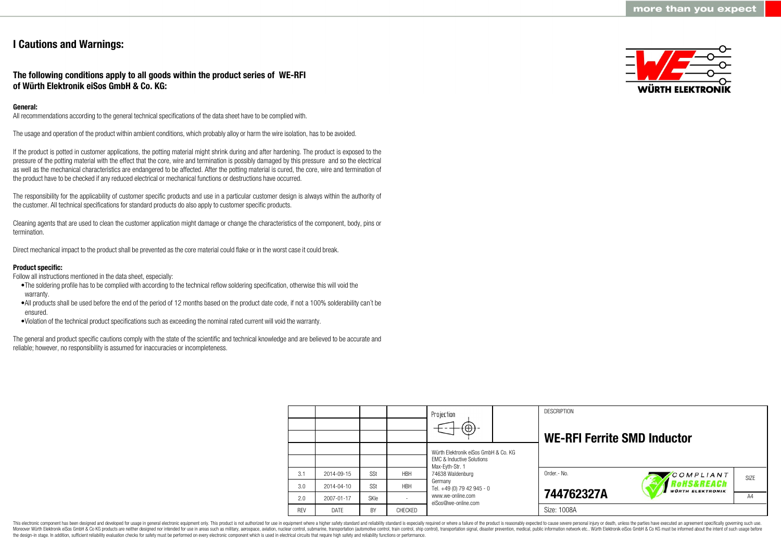### **I Cautions and Warnings:**

**The following conditions apply to all goods within the product series of WE-RFI of Würth Elektronik eiSos GmbH & Co. KG:**

#### **General:**

All recommendations according to the general technical specifications of the data sheet have to be complied with.

The usage and operation of the product within ambient conditions, which probably alloy or harm the wire isolation, has to be avoided.

If the product is potted in customer applications, the potting material might shrink during and after hardening. The product is exposed to the pressure of the potting material with the effect that the core, wire and termination is possibly damaged by this pressure and so the electrical as well as the mechanical characteristics are endangered to be affected. After the potting material is cured, the core, wire and termination of the product have to be checked if any reduced electrical or mechanical functions or destructions have occurred.

The responsibility for the applicability of customer specific products and use in a particular customer design is always within the authority of the customer. All technical specifications for standard products do also apply to customer specific products.

Cleaning agents that are used to clean the customer application might damage or change the characteristics of the component, body, pins or termination.

Direct mechanical impact to the product shall be prevented as the core material could flake or in the worst case it could break.

#### **Product specific:**

Follow all instructions mentioned in the data sheet, especially:

- •The soldering profile has to be complied with according to the technical reflow soldering specification, otherwise this will void the warranty.
- •All products shall be used before the end of the period of 12 months based on the product date code, if not a 100% solderability can´t be ensured.
- •Violation of the technical product specifications such as exceeding the nominal rated current will void the warranty.

The general and product specific cautions comply with the state of the scientific and technical knowledge and are believed to be accurate and reliable; however, no responsibility is assumed for inaccuracies or incompleteness.



|            |                  |             |            | Projection<br>$\textcircled{\scriptsize{+}}$                                                                        |  | <b>DESCRIPTION</b><br><b>WE-RFI Ferrite SMD Inductor</b> |                                      |      |
|------------|------------------|-------------|------------|---------------------------------------------------------------------------------------------------------------------|--|----------------------------------------------------------|--------------------------------------|------|
|            |                  |             |            | Würth Elektronik eiSos GmbH & Co. KG<br><b>EMC &amp; Inductive Solutions</b><br>Max-Evth-Str. 1<br>74638 Waldenburg |  |                                                          |                                      |      |
| 3.1        | 2014-09-15       | SSt         | <b>HBH</b> |                                                                                                                     |  | Order.- No.                                              | COMPLIANT                            | SIZE |
| 3.0        | $2014 - 04 - 10$ | SSt         | <b>HBH</b> | Germany<br>Tel. +49 (0) 79 42 945 - 0                                                                               |  |                                                          | oHS&REACh<br><b>WÜRTH ELEKTRONIK</b> |      |
| 2.0        | 2007-01-17       | <b>SKIe</b> |            | www.we-online.com<br>eiSos@we-online.com                                                                            |  | 744762327A                                               |                                      | A4   |
| <b>REV</b> | DATE             | BY          | CHECKED    |                                                                                                                     |  | Size: 1008A                                              |                                      |      |

This electronic component has been designed and developed for usage in general electronic equipment only. This product is not authorized for use in equipment where a higher safety standard and reliability standard is espec Moreover Würth Elektronik eiSos GmbH & Co KG products are neither designed nor intended for use in areas such as military, aerospace, aviation, nuclear control, submarine, transportation (automotive control), tain control) the design-in stage. In addition, sufficient reliability evaluation checks for safety must be performed on every electronic component which is used in electrical circuits that require high safety and reliability functions